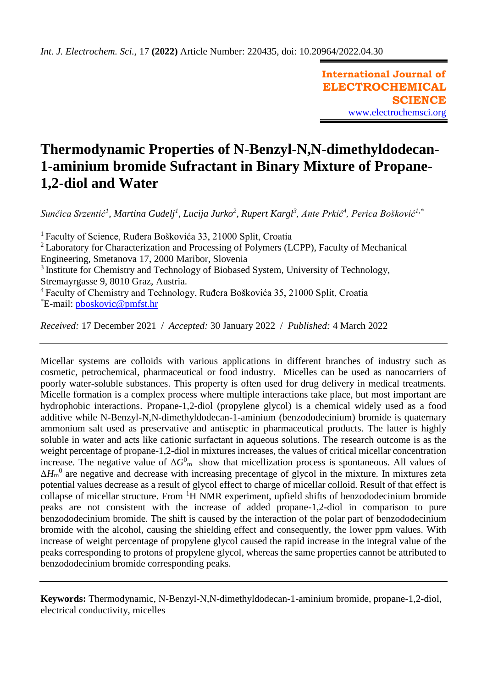**International Journal of ELECTROCHEMICAL SCIENCE** [www.electrochemsci.org](http://www.electrochemsci.org/)

# **Thermodynamic Properties of N-Benzyl-N,N-dimethyldodecan-1-aminium bromide Sufractant in Binary Mixture of Propane-1,2-diol and Water**

*Sunčica Srzentić<sup>1</sup> , Martina Gudelj<sup>1</sup> , Lucija Jurko<sup>2</sup> , Rupert Kargl<sup>3</sup> , Ante Prkić<sup>4</sup> , Perica Bošković1,\**

<sup>1</sup>Faculty of Science, Ruđera Boškovića 33, 21000 Split, Croatia

<sup>2</sup>Laboratory for Characterization and Processing of Polymers (LCPP), Faculty of Mechanical Engineering, Smetanova 17, 2000 Maribor, Slovenia

<sup>3</sup> Institute for Chemistry and Technology of Biobased System, University of Technology, Stremayrgasse 9, 8010 Graz, Austria.

<sup>4</sup>Faculty of Chemistry and Technology, Ruđera Boškovića 35, 21000 Split, Croatia \*E-mail: [pboskovic@pmfst.hr](mailto:pboskovic@pmfst.hr)

*Received:* 17 December 2021/ *Accepted:* 30 January 2022 / *Published:* 4 March 2022

Micellar systems are colloids with various applications in different branches of industry such as cosmetic, petrochemical, pharmaceutical or food industry. Micelles can be used as nanocarriers of poorly water-soluble substances. This property is often used for drug delivery in medical treatments. Micelle formation is a complex process where multiple interactions take place, but most important are hydrophobic interactions. Propane-1,2-diol (propylene glycol) is a chemical widely used as a food additive while N-Benzyl-N,N-dimethyldodecan-1-aminium (benzododecinium) bromide is quaternary ammonium salt used as preservative and antiseptic in pharmaceutical products. The latter is highly soluble in water and acts like cationic surfactant in aqueous solutions. The research outcome is as the weight percentage of propane-1,2-diol in mixtures increases, the values of critical micellar concentration increase. The negative value of  $\Delta G_{\text{m}}^0$  show that micellization process is spontaneous. All values of  $\Delta H_{\rm m}{}^0$  are negative and decrease with increasing precentage of glycol in the mixture. In mixtures zeta potential values decrease as a result of glycol effect to charge of micellar colloid. Result of that effect is collapse of micellar structure. From  ${}^{1}H$  NMR experiment, upfield shifts of benzododecinium bromide peaks are not consistent with the increase of added propane-1,2-diol in comparison to pure benzododecinium bromide. The shift is caused by the interaction of the polar part of benzododecinium bromide with the alcohol, causing the shielding effect and consequently, the lower ppm values. With increase of weight percentage of propylene glycol caused the rapid increase in the integral value of the peaks corresponding to protons of propylene glycol, whereas the same properties cannot be attributed to benzododecinium bromide corresponding peaks.

**Keywords:** Thermodynamic, N-Benzyl-N,N-dimethyldodecan-1-aminium bromide, propane-1,2-diol, electrical conductivity, micelles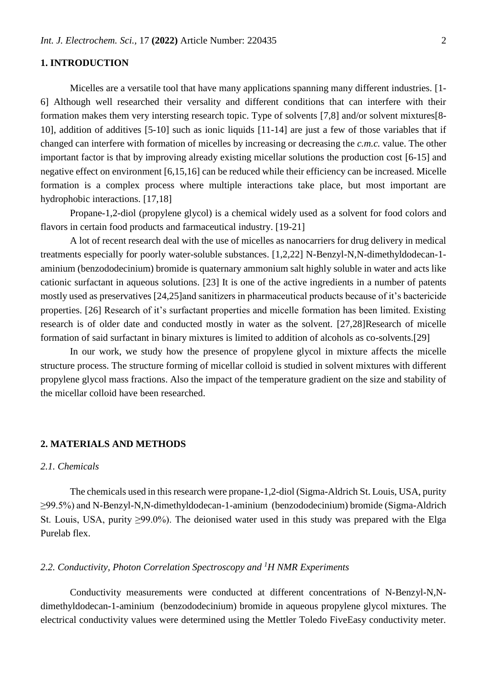## **1. INTRODUCTION**

Micelles are a versatile tool that have many applications spanning many different industries. [1- 6] Although well researched their versality and different conditions that can interfere with their formation makes them very intersting research topic. Type of solvents [7,8] and/or solvent mixtures[8- 10], addition of additives [5-10] such as ionic liquids [11-14] are just a few of those variables that if changed can interfere with formation of micelles by increasing or decreasing the *c.m.c.* value. The other important factor is that by improving already existing micellar solutions the production cost [6-15] and negative effect on environment [6,15,16] can be reduced while their efficiency can be increased. Micelle formation is a complex process where multiple interactions take place, but most important are hydrophobic interactions. [17,18]

Propane-1,2-diol (propylene glycol) is a chemical widely used as a solvent for food colors and flavors in certain food products and farmaceutical industry. [19-21]

A lot of recent research deal with the use of micelles as nanocarriers for drug delivery in medical treatments especially for poorly water-soluble substances. [1,2,22] N-Benzyl-N,N-dimethyldodecan-1 aminium (benzododecinium) bromide is quaternary ammonium salt highly soluble in water and acts like cationic surfactant in aqueous solutions. [23] It is one of the active ingredients in a number of patents mostly used as preservatives [24,25]and sanitizers in pharmaceutical products because of it's bactericide properties. [26] Research of it's surfactant properties and micelle formation has been limited. Existing research is of older date and conducted mostly in water as the solvent. [27,28]Research of micelle formation of said surfactant in binary mixtures is limited to addition of alcohols as co-solvents.[29]

In our work, we study how the presence of propylene glycol in mixture affects the micelle structure process. The structure forming of micellar colloid is studied in solvent mixtures with different propylene glycol mass fractions. Also the impact of the temperature gradient on the size and stability of the micellar colloid have been researched.

#### **2. MATERIALS AND METHODS**

#### *2.1. Chemicals*

The chemicals used in this research were propane-1,2-diol (Sigma-Aldrich St. Louis, USA, purity ≥99.5%) and N-Benzyl-N,N-dimethyldodecan-1-aminium (benzododecinium) bromide (Sigma-Aldrich St. Louis, USA, purity  $\geq 99.0\%$ ). The deionised water used in this study was prepared with the Elga Purelab flex.

#### *2.2. Conductivity, Photon Correlation Spectroscopy and <sup>1</sup>H NMR Experiments*

Conductivity measurements were conducted at different concentrations of N-Benzyl-N,Ndimethyldodecan-1-aminium (benzododecinium) bromide in aqueous propylene glycol mixtures. The electrical conductivity values were determined using the Mettler Toledo FiveEasy conductivity meter.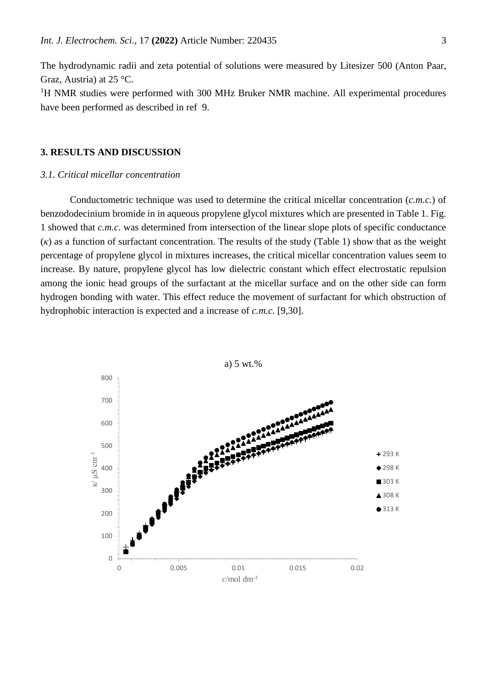The hydrodynamic radii and zeta potential of solutions were measured by Litesizer 500 (Anton Paar, Graz, Austria) at 25 °C.

<sup>1</sup>H NMR studies were performed with 300 MHz Bruker NMR machine. All experimental procedures have been performed as described in ref 9.

# **3. RESULTS AND DISCUSSION**

## *3.1. Critical micellar concentration*

Conductometric technique was used to determine the critical micellar concentration (*c.m.c.*) of benzododecinium bromide in in aqueous propylene glycol mixtures which are presented in Table 1. Fig. 1 showed that *c.m.c.* was determined from intersection of the linear slope plots of specific conductance (*κ*) as a function of surfactant concentration. The results of the study (Table 1) show that as the weight percentage of propylene glycol in mixtures increases, the critical micellar concentration values seem to increase. By nature, propylene glycol has low dielectric constant which effect electrostatic repulsion among the ionic head groups of the surfactant at the micellar surface and on the other side can form hydrogen bonding with water. This effect reduce the movement of surfactant for which obstruction of hydrophobic interaction is expected and a increase of *c.m.c*. [9,30].

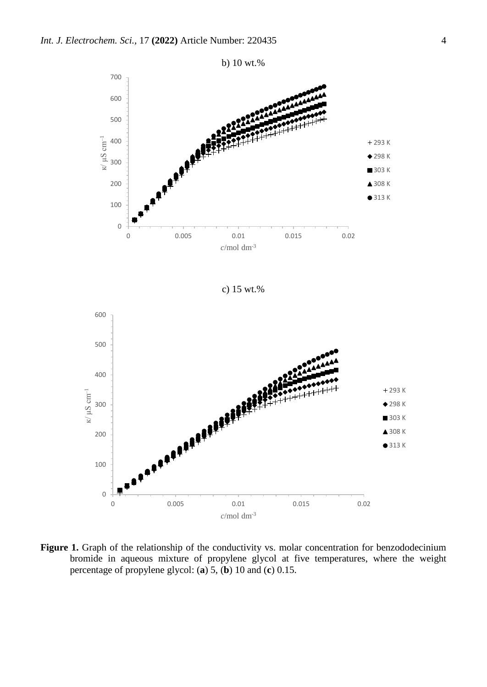

c) 15 wt.%



Figure 1. Graph of the relationship of the conductivity vs. molar concentration for benzododecinium bromide in aqueous mixture of propylene glycol at five temperatures, where the weight percentage of propylene glycol: (**a**) 5, (**b**) 10 and (**c**) 0.15.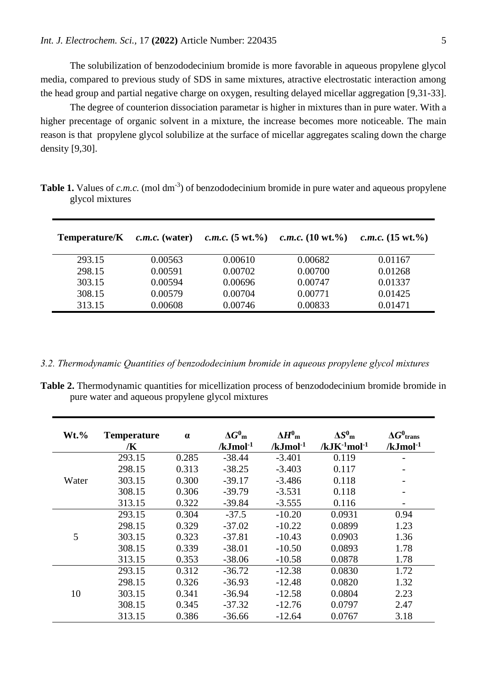The solubilization of benzododecinium bromide is more favorable in aqueous propylene glycol media, compared to previous study of SDS in same mixtures, atractive electrostatic interaction among the head group and partial negative charge on oxygen, resulting delayed micellar aggregation [9,31-33].

The degree of counterion dissociation parametar is higher in mixtures than in pure water. With a higher precentage of organic solvent in a mixture, the increase becomes more noticeable. The main reason is that propylene glycol solubilize at the surface of micellar aggregates scaling down the charge density [9,30].

| Temperature/K | $c.m.c.$ (water) | <i>c.m.c.</i> $(5 \text{ wt.}\%)$ | <i>c.m.c.</i> $(10 \text{ wt.}\%)$ | <i>c.m.c.</i> $(15 \text{ wt.}\%)$ |
|---------------|------------------|-----------------------------------|------------------------------------|------------------------------------|
| 293.15        | 0.00563          | 0.00610                           | 0.00682                            | 0.01167                            |
| 298.15        | 0.00591          | 0.00702                           | 0.00700                            | 0.01268                            |
| 303.15        | 0.00594          | 0.00696                           | 0.00747                            | 0.01337                            |
| 308.15        | 0.00579          | 0.00704                           | 0.00771                            | 0.01425                            |
| 313.15        | 0.00608          | 0.00746                           | 0.00833                            | 0.01471                            |

**Table 1.** Values of  $c.m.c.$  (mol dm<sup>-3</sup>) of benzododecinium bromide in pure water and aqueous propylene glycol mixtures

*3.2. Thermodynamic Quantities of benzododecinium bromide in aqueous propylene glycol mixtures*

**Table 2.** Thermodynamic quantities for micellization process of benzododecinium bromide bromide in pure water and aqueous propylene glycol mixtures

| $Wt.$ % | <b>Temperature</b><br>/K | $\alpha$ | $\Delta G^0$ <sub>m</sub><br>$/kJ$ mol <sup>-1</sup> | $\Delta H^0$ <sub>m</sub><br>$/kJmol-1$ | $\Delta S^0$ m<br>$/kJK^{-1}mol^{-1}$ | $\Delta G^0$ trans<br>$/kJ$ mol <sup>-1</sup> |
|---------|--------------------------|----------|------------------------------------------------------|-----------------------------------------|---------------------------------------|-----------------------------------------------|
|         | 293.15                   | 0.285    | $-38.44$                                             | $-3.401$                                | 0.119                                 |                                               |
|         | 298.15                   | 0.313    | $-38.25$                                             | $-3.403$                                | 0.117                                 |                                               |
| Water   | 303.15                   | 0.300    | $-39.17$                                             | $-3.486$                                | 0.118                                 |                                               |
|         | 308.15                   | 0.306    | $-39.79$                                             | $-3.531$                                | 0.118                                 |                                               |
|         | 313.15                   | 0.322    | $-39.84$                                             | $-3.555$                                | 0.116                                 |                                               |
|         | 293.15                   | 0.304    | $-37.5$                                              | $-10.20$                                | 0.0931                                | 0.94                                          |
|         | 298.15                   | 0.329    | $-37.02$                                             | $-10.22$                                | 0.0899                                | 1.23                                          |
| 5       | 303.15                   | 0.323    | $-37.81$                                             | $-10.43$                                | 0.0903                                | 1.36                                          |
|         | 308.15                   | 0.339    | $-38.01$                                             | $-10.50$                                | 0.0893                                | 1.78                                          |
|         | 313.15                   | 0.353    | $-38.06$                                             | $-10.58$                                | 0.0878                                | 1.78                                          |
| 10      | 293.15                   | 0.312    | $-36.72$                                             | $-12.38$                                | 0.0830                                | 1.72                                          |
|         | 298.15                   | 0.326    | $-36.93$                                             | $-12.48$                                | 0.0820                                | 1.32                                          |
|         | 303.15                   | 0.341    | $-36.94$                                             | $-12.58$                                | 0.0804                                | 2.23                                          |
|         | 308.15                   | 0.345    | $-37.32$                                             | $-12.76$                                | 0.0797                                | 2.47                                          |
|         | 313.15                   | 0.386    | $-36.66$                                             | $-12.64$                                | 0.0767                                | 3.18                                          |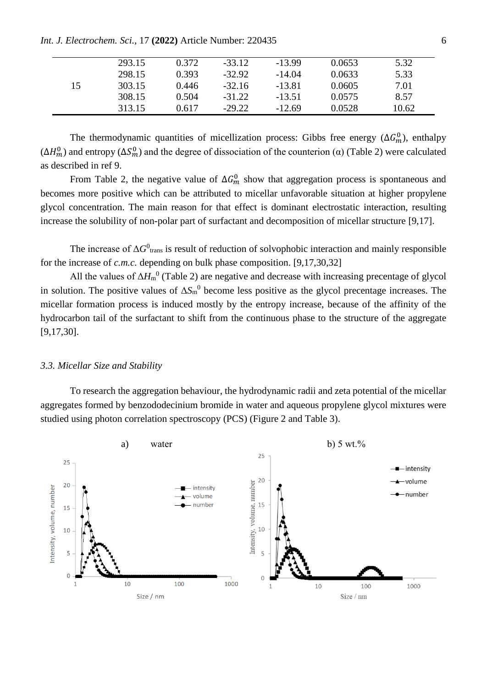*Int. J. Electrochem. Sci.,* 17 **(2022)** Article Number: 220435 6

|    | 293.15 | 0.372 | $-33.12$ | $-13.99$ | 0.0653 | 5.32  |
|----|--------|-------|----------|----------|--------|-------|
|    | 298.15 | 0.393 | $-32.92$ | $-14.04$ | 0.0633 | 5.33  |
| 15 | 303.15 | 0.446 | $-32.16$ | $-13.81$ | 0.0605 | 7.01  |
|    | 308.15 | 0.504 | $-31.22$ | $-13.51$ | 0.0575 | 8.57  |
|    | 313.15 | 0.617 | $-29.22$ | $-12.69$ | 0.0528 | 10.62 |
|    |        |       |          |          |        |       |

The thermodynamic quantities of micellization process: Gibbs free energy  $(\Delta G_m^0)$ , enthalpy  $(\Delta H_m^0)$  and entropy  $(\Delta S_m^0)$  and the degree of dissociation of the counterion ( $\alpha$ ) (Table 2) were calculated as described in ref 9.

From Table 2, the negative value of  $\Delta G_m^0$  show that aggregation process is spontaneous and becomes more positive which can be attributed to micellar unfavorable situation at higher propylene glycol concentration. The main reason for that effect is dominant electrostatic interaction, resulting increase the solubility of non-polar part of surfactant and decomposition of micellar structure [9,17].

The increase of  $\Delta G^0$ <sub>trans</sub> is result of reduction of solvophobic interaction and mainly responsible for the increase of *c.m.c.* depending on bulk phase composition. [9,17,30,32]

All the values of  $\Delta H_{\rm m}^{0}$  (Table 2) are negative and decrease with increasing precentage of glycol in solution. The positive values of  $\Delta S_{m}^{0}$  become less positive as the glycol precentage increases. The micellar formation process is induced mostly by the entropy increase, because of the affinity of the hydrocarbon tail of the surfactant to shift from the continuous phase to the structure of the aggregate [9,17,30].

#### *3.3. Micellar Size and Stability*

To research the aggregation behaviour, the hydrodynamic radii and zeta potential of the micellar aggregates formed by benzododecinium bromide in water and aqueous propylene glycol mixtures were studied using photon correlation spectroscopy (PCS) (Figure 2 and Table 3).

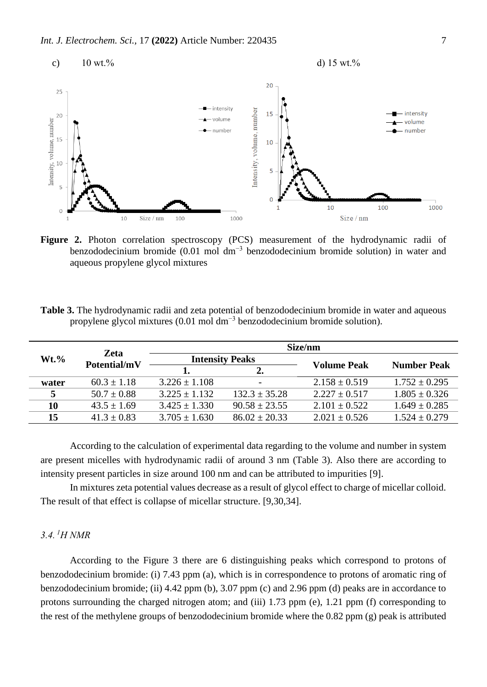

Figure 2. Photon correlation spectroscopy (PCS) measurement of the hydrodynamic radii of benzododecinium bromide (0.01 mol dm−3 benzododecinium bromide solution) in water and aqueous propylene glycol mixtures

**Table 3.** The hydrodynamic radii and zeta potential of benzododecinium bromide in water and aqueous propylene glycol mixtures (0.01 mol dm−3 benzododecinium bromide solution).

| $Wt.$ % | <b>Zeta</b><br>Potential/mV | Size/nm                |                   |                    |                    |  |  |
|---------|-----------------------------|------------------------|-------------------|--------------------|--------------------|--|--|
|         |                             | <b>Intensity Peaks</b> |                   | <b>Volume Peak</b> | <b>Number Peak</b> |  |  |
|         |                             |                        | 2.                |                    |                    |  |  |
| water   | $60.3 \pm 1.18$             | $3.226 \pm 1.108$      |                   | $2.158 \pm 0.519$  | $1.752 \pm 0.295$  |  |  |
|         | $50.7 \pm 0.88$             | $3.225 \pm 1.132$      | $132.3 \pm 35.28$ | $2.227 \pm 0.517$  | $1.805 \pm 0.326$  |  |  |
| 10      | $43.5 \pm 1.69$             | $3.425 \pm 1.330$      | $90.58 \pm 23.55$ | $2.101 \pm 0.522$  | $1.649 \pm 0.285$  |  |  |
| 15      | $41.3 \pm 0.83$             | $3.705 \pm 1.630$      | $86.02 \pm 20.33$ | $2.021 \pm 0.526$  | $1.524 \pm 0.279$  |  |  |

According to the calculation of experimental data regarding to the volume and number in system are present micelles with hydrodynamic radii of around 3 nm (Table 3). Also there are according to intensity present particles in size around 100 nm and can be attributed to impurities [9].

In mixtures zeta potential values decrease as a result of glycol effect to charge of micellar colloid. The result of that effect is collapse of micellar structure. [9,30,34].

# *3.4. <sup>1</sup>H NMR*

According to the Figure 3 there are 6 distinguishing peaks which correspond to protons of benzododecinium bromide: (i) 7.43 ppm (a), which is in correspondence to protons of aromatic ring of benzododecinium bromide; (ii) 4.42 ppm (b), 3.07 ppm (c) and 2.96 ppm (d) peaks are in accordance to protons surrounding the charged nitrogen atom; and (iii) 1.73 ppm (e), 1.21 ppm (f) corresponding to the rest of the methylene groups of benzododecinium bromide where the 0.82 ppm (g) peak is attributed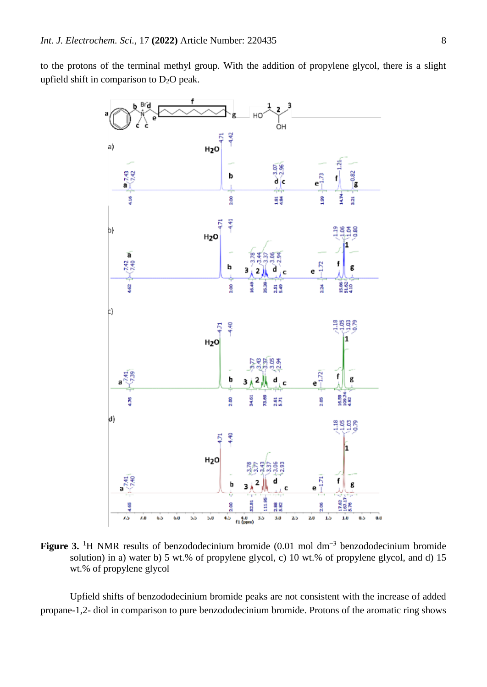to the protons of the terminal methyl group. With the addition of propylene glycol, there is a slight upfield shift in comparison to  $D_2O$  peak.



**Figure 3.** <sup>1</sup>H NMR results of benzododecinium bromide (0.01 mol dm−3 benzododecinium bromide solution) in a) water b) 5 wt.% of propylene glycol, c) 10 wt.% of propylene glycol, and d) 15 wt.% of propylene glycol

Upfield shifts of benzododecinium bromide peaks are not consistent with the increase of added propane-1,2- diol in comparison to pure benzododecinium bromide. Protons of the aromatic ring shows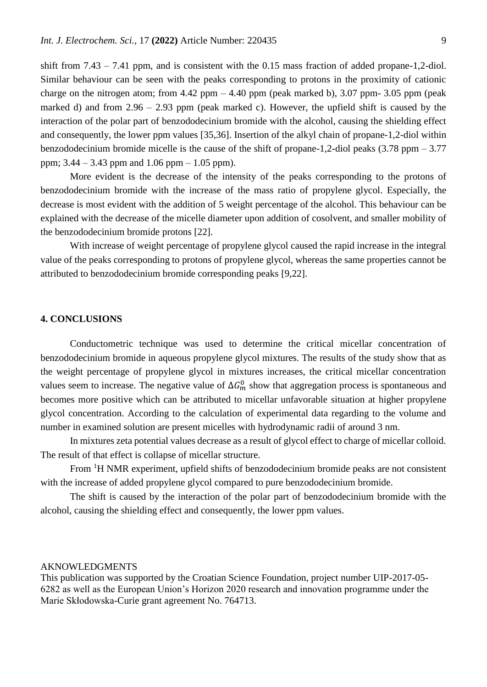shift from 7.43 – 7.41 ppm, and is consistent with the 0.15 mass fraction of added propane-1,2-diol. Similar behaviour can be seen with the peaks corresponding to protons in the proximity of cationic charge on the nitrogen atom; from  $4.42$  ppm  $-4.40$  ppm (peak marked b),  $3.07$  ppm-  $3.05$  ppm (peak marked d) and from  $2.96 - 2.93$  ppm (peak marked c). However, the upfield shift is caused by the interaction of the polar part of benzododecinium bromide with the alcohol, causing the shielding effect and consequently, the lower ppm values [35,36]. Insertion of the alkyl chain of propane-1,2-diol within benzododecinium bromide micelle is the cause of the shift of propane-1,2-diol peaks (3.78 ppm – 3.77 ppm; 3.44 – 3.43 ppm and 1.06 ppm – 1.05 ppm).

More evident is the decrease of the intensity of the peaks corresponding to the protons of benzododecinium bromide with the increase of the mass ratio of propylene glycol. Especially, the decrease is most evident with the addition of 5 weight percentage of the alcohol. This behaviour can be explained with the decrease of the micelle diameter upon addition of cosolvent, and smaller mobility of the benzododecinium bromide protons [22].

With increase of weight percentage of propylene glycol caused the rapid increase in the integral value of the peaks corresponding to protons of propylene glycol, whereas the same properties cannot be attributed to benzododecinium bromide corresponding peaks [9,22].

## **4. CONCLUSIONS**

Conductometric technique was used to determine the critical micellar concentration of benzododecinium bromide in aqueous propylene glycol mixtures. The results of the study show that as the weight percentage of propylene glycol in mixtures increases, the critical micellar concentration values seem to increase. The negative value of  $\Delta G_m^0$  show that aggregation process is spontaneous and becomes more positive which can be attributed to micellar unfavorable situation at higher propylene glycol concentration. According to the calculation of experimental data regarding to the volume and number in examined solution are present micelles with hydrodynamic radii of around 3 nm.

In mixtures zeta potential values decrease as a result of glycol effect to charge of micellar colloid. The result of that effect is collapse of micellar structure.

From <sup>1</sup>H NMR experiment, upfield shifts of benzododecinium bromide peaks are not consistent with the increase of added propylene glycol compared to pure benzododecinium bromide.

The shift is caused by the interaction of the polar part of benzododecinium bromide with the alcohol, causing the shielding effect and consequently, the lower ppm values.

#### AKNOWLEDGMENTS

This publication was supported by the Croatian Science Foundation, project number UIP-2017-05- 6282 as well as the European Union's Horizon 2020 research and innovation programme under the Marie Skłodowska-Curie grant agreement No. 764713.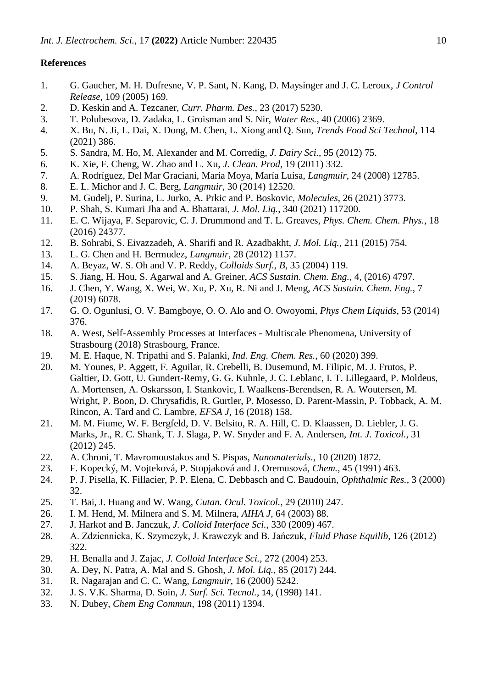## **References**

- 1. G. Gaucher, M. H. Dufresne, V. P. Sant, N. Kang, D. Maysinger and J. C. Leroux, *J Control Release*, 109 (2005) 169.
- 2. D. Keskin and A. Tezcaner, *Curr. Pharm. Des.,* 23 (2017) 5230.
- 3. T. Polubesova, D. Zadaka, L. Groisman and S. Nir, *Water Res.*, 40 (2006) 2369.
- 4. X. Bu, N. Ji, L. Dai, X. Dong, M. Chen, L. Xiong and Q. Sun, *Trends Food Sci Technol*, 114 (2021) 386.
- 5. S. Sandra, M. Ho, M. Alexander and M. Corredig, *J. Dairy Sci.*, 95 (2012) 75.
- 6. K. Xie, F. Cheng, W. Zhao and L. Xu, *J. Clean. Prod*, 19 (2011) 332.
- 7. A. Rodríguez, Del Mar Graciani, María Moya, María Luisa, *Langmuir*, 24 (2008) 12785.
- 8. E. L. Michor and J. C. Berg, *Langmuir*, 30 (2014) 12520.
- 9. M. Gudelj, P. Surina, L. Jurko, A. Prkic and P. Boskovic, *Molecules*, 26 (2021) 3773.
- 10. P. Shah, S. Kumari Jha and A. Bhattarai, *J. Mol. Liq.*, 340 (2021) 117200.
- 11. E. C. Wijaya, F. Separovic, C. J. Drummond and T. L. Greaves, *Phys. Chem. Chem. Phys.*, 18 (2016) 24377.
- 12. B. Sohrabi, S. Eivazzadeh, A. Sharifi and R. Azadbakht, *J. Mol. Liq.*, 211 (2015) 754.
- 13. L. G. Chen and H. Bermudez, *Langmuir*, 28 (2012) 1157.
- 14. A. Beyaz, W. S. Oh and V. P. Reddy, *Colloids Surf., B*, 35 (2004) 119.
- 15. S. Jiang, H. Hou, S. Agarwal and A. Greiner, *ACS Sustain. Chem. Eng.*, 4, (2016) 4797.
- 16. J. Chen, Y. Wang, X. Wei, W. Xu, P. Xu, R. Ni and J. Meng, *ACS Sustain. Chem. Eng.*, 7 (2019) 6078.
- 17. G. O. Ogunlusi, O. V. Bamgboye, O. O. Alo and O. Owoyomi, *Phys Chem Liquids*, 53 (2014) 376.
- 18. A. West, Self-Assembly Processes at Interfaces Multiscale Phenomena, University of Strasbourg (2018) Strasbourg, France.
- 19. M. E. Haque, N. Tripathi and S. Palanki, *Ind. Eng. Chem. Res.*, 60 (2020) 399.
- 20. M. Younes, P. Aggett, F. Aguilar, R. Crebelli, B. Dusemund, M. Filipic, M. J. Frutos, P. Galtier, D. Gott, U. Gundert-Remy, G. G. Kuhnle, J. C. Leblanc, I. T. Lillegaard, P. Moldeus, A. Mortensen, A. Oskarsson, I. Stankovic, I. Waalkens-Berendsen, R. A. Woutersen, M. Wright, P. Boon, D. Chrysafidis, R. Gurtler, P. Mosesso, D. Parent-Massin, P. Tobback, A. M. Rincon, A. Tard and C. Lambre, *EFSA J*, 16 (2018) 158.
- 21. M. M. Fiume, W. F. Bergfeld, D. V. Belsito, R. A. Hill, C. D. Klaassen, D. Liebler, J. G. Marks, Jr., R. C. Shank, T. J. Slaga, P. W. Snyder and F. A. Andersen, *Int. J. Toxicol.*, 31 (2012) 245.
- 22. A. Chroni, T. Mavromoustakos and S. Pispas, *Nanomaterials.*, 10 (2020) 1872.
- 23. F. Kopecký, M. Vojteková, P. Stopjaková and J. Oremusová, *Chem.*, 45 (1991) 463.
- 24. P. J. Pisella, K. Fillacier, P. P. Elena, C. Debbasch and C. Baudouin, *Ophthalmic Res.*, 3 (2000) 32.
- 25. T. Bai, J. Huang and W. Wang, *Cutan. Ocul. Toxicol.*, 29 (2010) 247.
- 26. I. M. Hend, M. Milnera and S. M. Milnera, *AIHA J*, 64 (2003) 88.
- 27. J. Harkot and B. Janczuk, *J. Colloid Interface Sci.*, 330 (2009) 467.
- 28. A. Zdziennicka, K. Szymczyk, J. Krawczyk and B. Jańczuk, *Fluid Phase Equilib*, 126 (2012) 322.
- 29. H. Benalla and J. Zajac, *J. Colloid Interface Sci.*, 272 (2004) 253.
- 30. A. Dey, N. Patra, A. Mal and S. Ghosh, *J. Mol. Liq.*, 85 (2017) 244.
- 31. R. Nagarajan and C. C. Wang, *Langmuir*, 16 (2000) 5242.
- 32. J. S. V.K. Sharma, D. Soin, *J. Surf. Sci. Tecnol.*, 14, (1998) 141.
- 33. N. Dubey, *Chem Eng Commun*, 198 (2011) 1394.